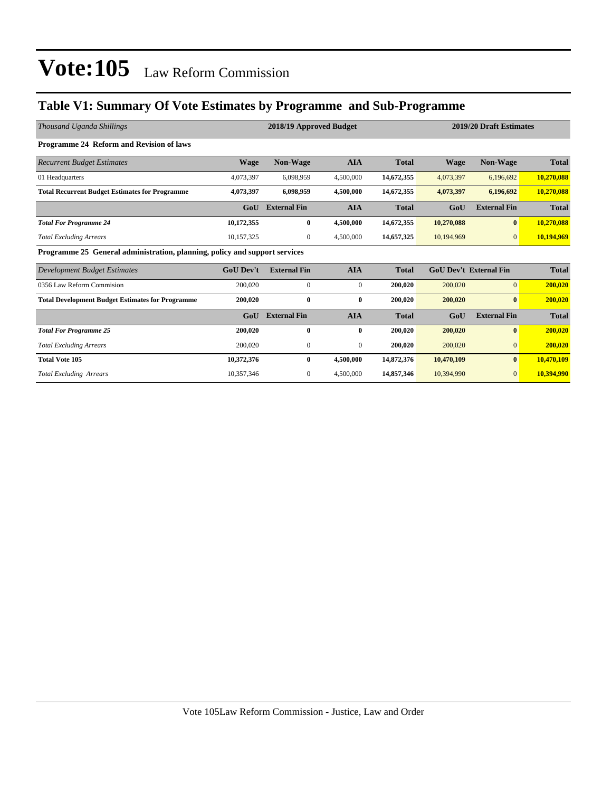### **Table V1: Summary Of Vote Estimates by Programme and Sub-Programme**

| Thousand Uganda Shillings                                                  |                  | 2018/19 Approved Budget |              | 2019/20 Draft Estimates |             |                               |              |
|----------------------------------------------------------------------------|------------------|-------------------------|--------------|-------------------------|-------------|-------------------------------|--------------|
| Programme 24 Reform and Revision of laws                                   |                  |                         |              |                         |             |                               |              |
| <b>Recurrent Budget Estimates</b>                                          | <b>Wage</b>      | <b>Non-Wage</b>         | <b>AIA</b>   | <b>Total</b>            | <b>Wage</b> | <b>Non-Wage</b>               | <b>Total</b> |
| 01 Headquarters                                                            | 4,073,397        | 6,098,959               | 4,500,000    | 14,672,355              | 4,073,397   | 6,196,692                     | 10,270,088   |
| <b>Total Recurrent Budget Estimates for Programme</b>                      | 4,073,397        | 6,098,959               | 4,500,000    | 14,672,355              | 4,073,397   | 6,196,692                     | 10,270,088   |
|                                                                            | GoU              | <b>External Fin</b>     | <b>AIA</b>   | <b>Total</b>            | GoU         | <b>External Fin</b>           | <b>Total</b> |
| <b>Total For Programme 24</b>                                              | 10,172,355       | $\bf{0}$                | 4,500,000    | 14,672,355              | 10,270,088  | $\bf{0}$                      | 10,270,088   |
| <b>Total Excluding Arrears</b>                                             | 10,157,325       | $\mathbf{0}$            | 4,500,000    | 14,657,325              | 10,194,969  | $\overline{0}$                | 10,194,969   |
| Programme 25 General administration, planning, policy and support services |                  |                         |              |                         |             |                               |              |
| Development Budget Estimates                                               | <b>GoU Dev't</b> | <b>External Fin</b>     | <b>AIA</b>   | <b>Total</b>            |             | <b>GoU Dev't External Fin</b> | <b>Total</b> |
| 0356 Law Reform Commision                                                  | 200,020          | $\mathbf{0}$            | $\mathbf{0}$ | 200,020                 | 200,020     | $\overline{0}$                | 200,020      |
| <b>Total Development Budget Estimates for Programme</b>                    | 200,020          | $\bf{0}$                | $\bf{0}$     | 200,020                 | 200,020     | $\bf{0}$                      | 200,020      |
|                                                                            | GoU              | <b>External Fin</b>     | <b>AIA</b>   | <b>Total</b>            | GoU         | <b>External Fin</b>           | <b>Total</b> |
| <b>Total For Programme 25</b>                                              | 200,020          | $\mathbf{0}$            | $\bf{0}$     | 200,020                 | 200,020     | $\mathbf{0}$                  | 200,020      |
| <b>Total Excluding Arrears</b>                                             | 200,020          | $\boldsymbol{0}$        | $\mathbf{0}$ | 200,020                 | 200,020     | $\overline{0}$                | 200,020      |
| <b>Total Vote 105</b>                                                      | 10,372,376       | $\bf{0}$                | 4,500,000    | 14,872,376              | 10,470,109  | $\bf{0}$                      | 10,470,109   |
| <b>Total Excluding Arrears</b>                                             | 10,357,346       | 0                       | 4,500,000    | 14,857,346              | 10,394,990  | $\overline{0}$                | 10,394,990   |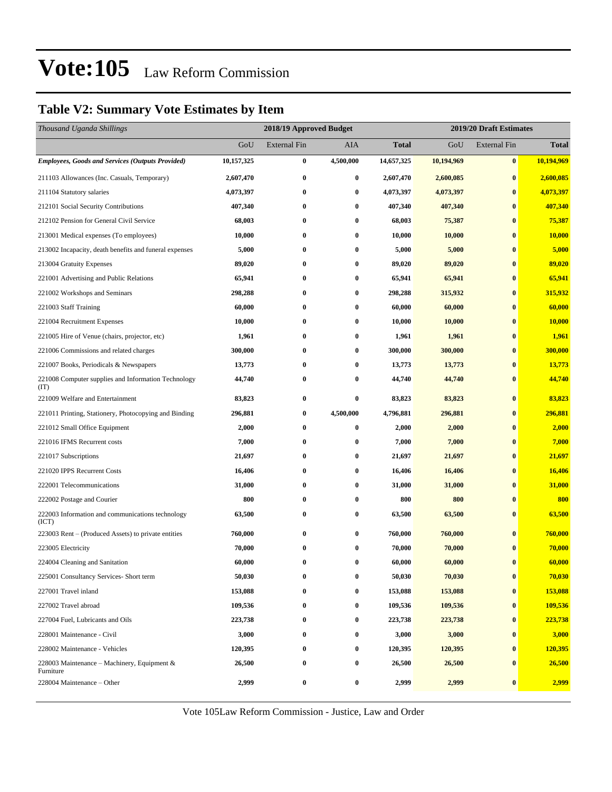### **Table V2: Summary Vote Estimates by Item**

| Thousand Uganda Shillings                                   |            | 2018/19 Approved Budget |                  |              | 2019/20 Draft Estimates |                     |               |  |
|-------------------------------------------------------------|------------|-------------------------|------------------|--------------|-------------------------|---------------------|---------------|--|
|                                                             | GoU        | <b>External Fin</b>     | AIA              | <b>Total</b> | GoU                     | <b>External Fin</b> | <b>Total</b>  |  |
| <b>Employees, Goods and Services (Outputs Provided)</b>     | 10,157,325 | $\bf{0}$                | 4,500,000        | 14,657,325   | 10,194,969              | $\bf{0}$            | 10,194,969    |  |
| 211103 Allowances (Inc. Casuals, Temporary)                 | 2,607,470  | $\bf{0}$                | 0                | 2,607,470    | 2,600,085               | $\bf{0}$            | 2,600,085     |  |
| 211104 Statutory salaries                                   | 4,073,397  | $\bf{0}$                | 0                | 4,073,397    | 4,073,397               | $\bf{0}$            | 4,073,397     |  |
| 212101 Social Security Contributions                        | 407,340    | $\bf{0}$                | 0                | 407,340      | 407,340                 | $\bf{0}$            | 407,340       |  |
| 212102 Pension for General Civil Service                    | 68,003     | $\bf{0}$                | $\bf{0}$         | 68,003       | 75,387                  | $\bf{0}$            | 75,387        |  |
| 213001 Medical expenses (To employees)                      | 10,000     | $\bf{0}$                | $\bf{0}$         | 10,000       | 10,000                  | $\bf{0}$            | 10,000        |  |
| 213002 Incapacity, death benefits and funeral expenses      | 5,000      | $\bf{0}$                | 0                | 5,000        | 5,000                   | $\bf{0}$            | 5,000         |  |
| 213004 Gratuity Expenses                                    | 89,020     | $\bf{0}$                | 0                | 89,020       | 89,020                  | $\bf{0}$            | 89,020        |  |
| 221001 Advertising and Public Relations                     | 65,941     | $\bf{0}$                | 0                | 65,941       | 65,941                  | $\bf{0}$            | 65,941        |  |
| 221002 Workshops and Seminars                               | 298,288    | $\bf{0}$                | 0                | 298,288      | 315,932                 | $\bf{0}$            | 315,932       |  |
| 221003 Staff Training                                       | 60,000     | $\bf{0}$                | $\bf{0}$         | 60,000       | 60,000                  | $\bf{0}$            | 60,000        |  |
| 221004 Recruitment Expenses                                 | 10,000     | $\bf{0}$                | 0                | 10,000       | 10,000                  | $\bf{0}$            | <b>10,000</b> |  |
| 221005 Hire of Venue (chairs, projector, etc)               | 1,961      | $\bf{0}$                | 0                | 1,961        | 1,961                   | $\bf{0}$            | 1,961         |  |
| 221006 Commissions and related charges                      | 300,000    | $\bf{0}$                | 0                | 300,000      | 300,000                 | $\bf{0}$            | 300,000       |  |
| 221007 Books, Periodicals & Newspapers                      | 13,773     | $\bf{0}$                | 0                | 13,773       | 13,773                  | $\bf{0}$            | 13,773        |  |
| 221008 Computer supplies and Information Technology<br>(TT) | 44,740     | $\bf{0}$                | 0                | 44,740       | 44,740                  | $\bf{0}$            | 44,740        |  |
| 221009 Welfare and Entertainment                            | 83,823     | $\bf{0}$                | 0                | 83,823       | 83,823                  | $\bf{0}$            | 83,823        |  |
| 221011 Printing, Stationery, Photocopying and Binding       | 296,881    | $\bf{0}$                | 4,500,000        | 4,796,881    | 296,881                 | $\bf{0}$            | 296,881       |  |
| 221012 Small Office Equipment                               | 2,000      | $\bf{0}$                | $\bf{0}$         | 2,000        | 2,000                   | $\bf{0}$            | 2,000         |  |
| 221016 IFMS Recurrent costs                                 | 7,000      | $\bf{0}$                | 0                | 7,000        | 7,000                   | $\bf{0}$            | 7,000         |  |
| 221017 Subscriptions                                        | 21,697     | $\bf{0}$                | 0                | 21,697       | 21,697                  | $\bf{0}$            | 21,697        |  |
| 221020 IPPS Recurrent Costs                                 | 16,406     | $\bf{0}$                | 0                | 16,406       | 16,406                  | $\bf{0}$            | 16,406        |  |
| 222001 Telecommunications                                   | 31,000     | $\bf{0}$                | 0                | 31,000       | 31,000                  | $\bf{0}$            | 31,000        |  |
| 222002 Postage and Courier                                  | 800        | $\bf{0}$                | 0                | 800          | 800                     | $\bf{0}$            | 800           |  |
| 222003 Information and communications technology<br>(ICT)   | 63,500     | $\bf{0}$                | 0                | 63,500       | 63,500                  | $\bf{0}$            | 63,500        |  |
| 223003 Rent – (Produced Assets) to private entities         | 760,000    | $\bf{0}$                | 0                | 760,000      | 760,000                 | $\bf{0}$            | 760,000       |  |
| 223005 Electricity                                          | 70,000     | $\bf{0}$                | 0                | 70,000       | 70,000                  | $\bf{0}$            | 70,000        |  |
| 224004 Cleaning and Sanitation                              | 60,000     | $\bf{0}$                | 0                | 60,000       | 60,000                  | $\bf{0}$            | 60,000        |  |
| 225001 Consultancy Services- Short term                     | 50,030     | 0                       | $\bf{0}$         | 50,030       | 70,030                  | $\bf{0}$            | 70,030        |  |
| 227001 Travel inland                                        | 153,088    | $\bf{0}$                | 0                | 153,088      | 153,088                 | $\bf{0}$            | 153,088       |  |
| 227002 Travel abroad                                        | 109,536    | $\bf{0}$                | $\boldsymbol{0}$ | 109,536      | 109,536                 | $\bf{0}$            | 109,536       |  |
| 227004 Fuel, Lubricants and Oils                            | 223,738    | $\bf{0}$                | 0                | 223,738      | 223,738                 | $\bf{0}$            | 223,738       |  |
| 228001 Maintenance - Civil                                  | 3,000      | $\bf{0}$                | 0                | 3,000        | 3,000                   | $\bf{0}$            | 3,000         |  |
| 228002 Maintenance - Vehicles                               | 120,395    | $\bf{0}$                | 0                | 120,395      | 120,395                 | $\bf{0}$            | 120,395       |  |
| 228003 Maintenance – Machinery, Equipment &<br>Furniture    | 26,500     | $\bf{0}$                | 0                | 26,500       | 26,500                  | $\bf{0}$            | 26,500        |  |
| 228004 Maintenance - Other                                  | 2,999      | $\boldsymbol{0}$        | $\bf{0}$         | 2,999        | 2,999                   | $\pmb{0}$           | 2,999         |  |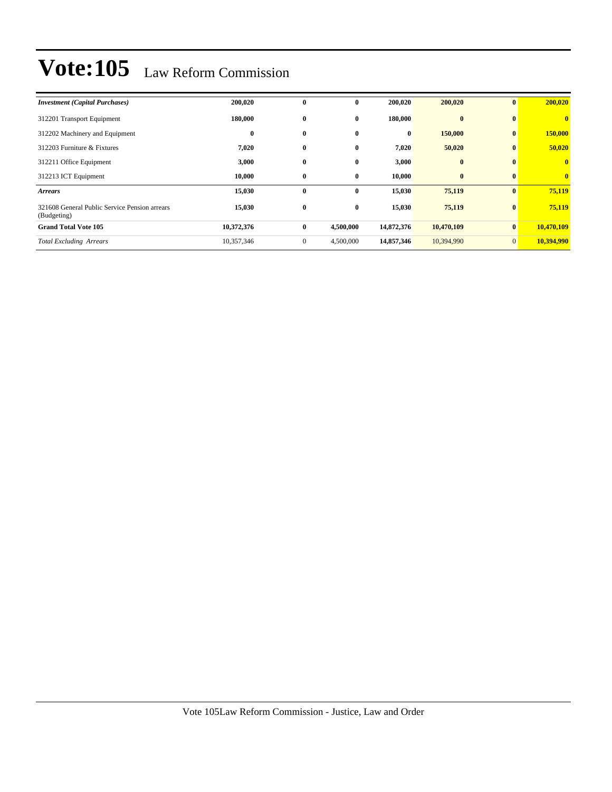| <b>Investment</b> (Capital Purchases)                        | 200,020    | $\bf{0}$         | $\mathbf{0}$ | 200,020    | 200,020    | $\mathbf{0}$    | 200,020                 |
|--------------------------------------------------------------|------------|------------------|--------------|------------|------------|-----------------|-------------------------|
| 312201 Transport Equipment                                   | 180,000    | $\bf{0}$         | $\bf{0}$     | 180,000    | $\bf{0}$   | $\bf{0}$        | $\mathbf{0}$            |
| 312202 Machinery and Equipment                               | $\bf{0}$   | $\bf{0}$         | $\bf{0}$     | $\bf{0}$   | 150,000    | $\mathbf{0}$    | 150,000                 |
| 312203 Furniture & Fixtures                                  | 7,020      | $\bf{0}$         | $\bf{0}$     | 7,020      | 50,020     | $\bf{0}$        | 50,020                  |
| 312211 Office Equipment                                      | 3,000      | $\bf{0}$         | $\bf{0}$     | 3,000      | $\bf{0}$   | $\bf{0}$        | $\overline{\mathbf{0}}$ |
| 312213 ICT Equipment                                         | 10,000     | $\bf{0}$         | $\bf{0}$     | 10,000     | $\bf{0}$   | $\bf{0}$        | $\mathbf{0}$            |
| <b>Arrears</b>                                               | 15,030     | $\bf{0}$         | $\bf{0}$     | 15,030     | 75,119     | $\mathbf{0}$    | 75,119                  |
| 321608 General Public Service Pension arrears<br>(Budgeting) | 15,030     | $\bf{0}$         | $\bf{0}$     | 15,030     | 75,119     | $\vert 0 \vert$ | 75,119                  |
| <b>Grand Total Vote 105</b>                                  | 10,372,376 | $\bf{0}$         | 4,500,000    | 14,872,376 | 10,470,109 | $\vert 0 \vert$ | 10,470,109              |
| <b>Total Excluding Arrears</b>                               | 10,357,346 | $\boldsymbol{0}$ | 4,500,000    | 14,857,346 | 10,394,990 | $\overline{0}$  | 10,394,990              |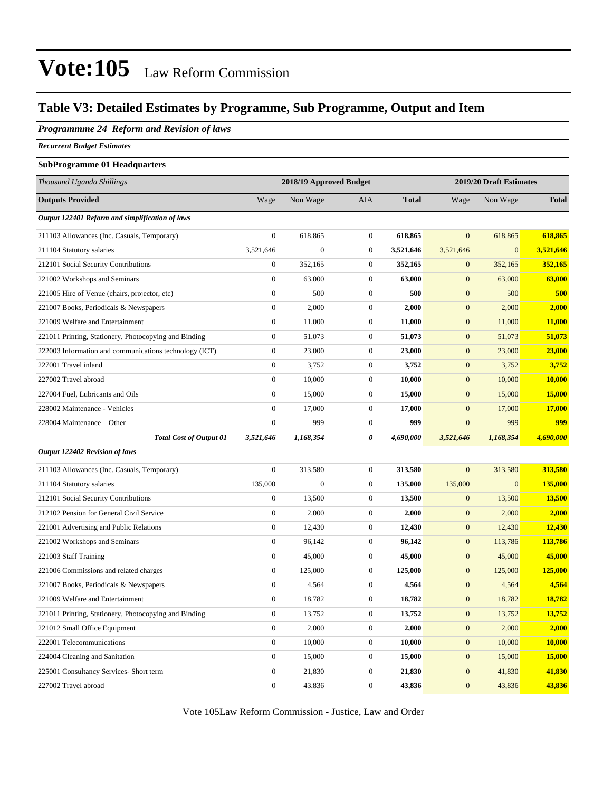### **Table V3: Detailed Estimates by Programme, Sub Programme, Output and Item**

#### *Programmme 24 Reform and Revision of laws*

*Recurrent Budget Estimates*

#### **SubProgramme 01 Headquarters**

| Thousand Uganda Shillings                              |                  | 2018/19 Approved Budget |                  |              | 2019/20 Draft Estimates |                  |              |
|--------------------------------------------------------|------------------|-------------------------|------------------|--------------|-------------------------|------------------|--------------|
| <b>Outputs Provided</b>                                | Wage             | Non Wage                | <b>AIA</b>       | <b>Total</b> | Wage                    | Non Wage         | <b>Total</b> |
| Output 122401 Reform and simplification of laws        |                  |                         |                  |              |                         |                  |              |
| 211103 Allowances (Inc. Casuals, Temporary)            | $\boldsymbol{0}$ | 618,865                 | $\boldsymbol{0}$ | 618,865      | $\overline{0}$          | 618,865          | 618,865      |
| 211104 Statutory salaries                              | 3,521,646        | $\boldsymbol{0}$        | $\mathbf{0}$     | 3,521,646    | 3,521,646               | $\mathbf{0}$     | 3,521,646    |
| 212101 Social Security Contributions                   | $\boldsymbol{0}$ | 352,165                 | $\mathbf{0}$     | 352,165      | $\mathbf{0}$            | 352,165          | 352,165      |
| 221002 Workshops and Seminars                          | $\boldsymbol{0}$ | 63,000                  | $\mathbf{0}$     | 63,000       | $\boldsymbol{0}$        | 63,000           | 63,000       |
| 221005 Hire of Venue (chairs, projector, etc)          | $\boldsymbol{0}$ | 500                     | $\mathbf{0}$     | 500          | $\mathbf{0}$            | 500              | 500          |
| 221007 Books, Periodicals & Newspapers                 | $\boldsymbol{0}$ | 2,000                   | $\mathbf{0}$     | 2,000        | $\mathbf{0}$            | 2,000            | 2,000        |
| 221009 Welfare and Entertainment                       | $\boldsymbol{0}$ | 11,000                  | $\boldsymbol{0}$ | 11,000       | $\mathbf{0}$            | 11,000           | 11,000       |
| 221011 Printing, Stationery, Photocopying and Binding  | $\boldsymbol{0}$ | 51,073                  | $\boldsymbol{0}$ | 51,073       | $\mathbf{0}$            | 51,073           | 51,073       |
| 222003 Information and communications technology (ICT) | $\boldsymbol{0}$ | 23,000                  | $\boldsymbol{0}$ | 23,000       | $\mathbf{0}$            | 23,000           | 23,000       |
| 227001 Travel inland                                   | $\boldsymbol{0}$ | 3,752                   | $\boldsymbol{0}$ | 3,752        | $\boldsymbol{0}$        | 3,752            | 3,752        |
| 227002 Travel abroad                                   | $\boldsymbol{0}$ | 10,000                  | $\boldsymbol{0}$ | 10,000       | $\mathbf{0}$            | 10,000           | 10,000       |
| 227004 Fuel, Lubricants and Oils                       | $\boldsymbol{0}$ | 15,000                  | $\boldsymbol{0}$ | 15,000       | $\mathbf{0}$            | 15,000           | 15,000       |
| 228002 Maintenance - Vehicles                          | $\boldsymbol{0}$ | 17,000                  | $\boldsymbol{0}$ | 17,000       | $\mathbf{0}$            | 17,000           | 17,000       |
| 228004 Maintenance – Other                             | $\boldsymbol{0}$ | 999                     | $\boldsymbol{0}$ | 999          | $\boldsymbol{0}$        | 999              | 999          |
| <b>Total Cost of Output 01</b>                         | 3,521,646        | 1,168,354               | 0                | 4,690,000    | 3,521,646               | 1,168,354        | 4,690,000    |
| Output 122402 Revision of laws                         |                  |                         |                  |              |                         |                  |              |
| 211103 Allowances (Inc. Casuals, Temporary)            | $\boldsymbol{0}$ | 313,580                 | $\boldsymbol{0}$ | 313,580      | $\mathbf{0}$            | 313,580          | 313,580      |
| 211104 Statutory salaries                              | 135,000          | $\boldsymbol{0}$        | $\boldsymbol{0}$ | 135,000      | 135,000                 | $\boldsymbol{0}$ | 135,000      |
| 212101 Social Security Contributions                   | $\boldsymbol{0}$ | 13,500                  | $\boldsymbol{0}$ | 13,500       | $\mathbf{0}$            | 13,500           | 13,500       |
| 212102 Pension for General Civil Service               | $\boldsymbol{0}$ | 2,000                   | $\boldsymbol{0}$ | 2,000        | $\mathbf{0}$            | 2,000            | 2,000        |
| 221001 Advertising and Public Relations                | $\boldsymbol{0}$ | 12,430                  | $\boldsymbol{0}$ | 12,430       | $\boldsymbol{0}$        | 12,430           | 12,430       |
| 221002 Workshops and Seminars                          | $\boldsymbol{0}$ | 96,142                  | $\boldsymbol{0}$ | 96,142       | $\mathbf{0}$            | 113,786          | 113,786      |
| 221003 Staff Training                                  | $\boldsymbol{0}$ | 45,000                  | $\boldsymbol{0}$ | 45,000       | $\mathbf{0}$            | 45,000           | 45,000       |
| 221006 Commissions and related charges                 | $\boldsymbol{0}$ | 125,000                 | $\boldsymbol{0}$ | 125,000      | $\mathbf{0}$            | 125,000          | 125,000      |
| 221007 Books, Periodicals & Newspapers                 | $\boldsymbol{0}$ | 4,564                   | $\boldsymbol{0}$ | 4,564        | $\mathbf{0}$            | 4,564            | 4,564        |
| 221009 Welfare and Entertainment                       | $\boldsymbol{0}$ | 18,782                  | $\boldsymbol{0}$ | 18,782       | $\mathbf{0}$            | 18,782           | 18,782       |
| 221011 Printing, Stationery, Photocopying and Binding  | $\boldsymbol{0}$ | 13,752                  | $\mathbf{0}$     | 13,752       | $\boldsymbol{0}$        | 13,752           | 13,752       |
| 221012 Small Office Equipment                          | $\boldsymbol{0}$ | 2,000                   | $\boldsymbol{0}$ | 2,000        | $\mathbf{0}$            | 2,000            | 2,000        |
| 222001 Telecommunications                              | $\boldsymbol{0}$ | 10,000                  | $\boldsymbol{0}$ | 10,000       | $\mathbf{0}$            | 10,000           | 10,000       |
| 224004 Cleaning and Sanitation                         | $\boldsymbol{0}$ | 15,000                  | $\boldsymbol{0}$ | 15,000       | $\boldsymbol{0}$        | 15,000           | 15,000       |
| 225001 Consultancy Services- Short term                | $\boldsymbol{0}$ | 21,830                  | $\boldsymbol{0}$ | 21,830       | $\mathbf{0}$            | 41,830           | 41,830       |
| 227002 Travel abroad                                   | $\boldsymbol{0}$ | 43,836                  | $\boldsymbol{0}$ | 43,836       | $\boldsymbol{0}$        | 43,836           | 43,836       |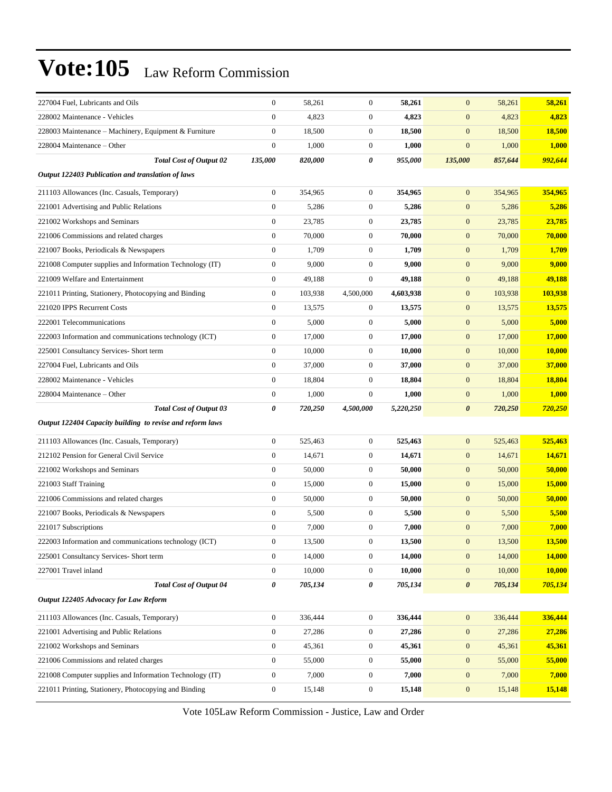| 227004 Fuel, Lubricants and Oils                          | $\boldsymbol{0}$ | 58,261  | $\boldsymbol{0}$ | 58,261    | $\mathbf{0}$          | 58,261  | 58,261  |
|-----------------------------------------------------------|------------------|---------|------------------|-----------|-----------------------|---------|---------|
| 228002 Maintenance - Vehicles                             | $\boldsymbol{0}$ | 4,823   | $\mathbf{0}$     | 4,823     | $\boldsymbol{0}$      | 4,823   | 4,823   |
| 228003 Maintenance – Machinery, Equipment & Furniture     | $\boldsymbol{0}$ | 18,500  | $\mathbf{0}$     | 18,500    | $\boldsymbol{0}$      | 18,500  | 18,500  |
| 228004 Maintenance - Other                                | $\boldsymbol{0}$ | 1,000   | $\boldsymbol{0}$ | 1,000     | $\mathbf{0}$          | 1,000   | 1,000   |
| <b>Total Cost of Output 02</b>                            | 135,000          | 820,000 | 0                | 955,000   | 135,000               | 857,644 | 992,644 |
| Output 122403 Publication and translation of laws         |                  |         |                  |           |                       |         |         |
| 211103 Allowances (Inc. Casuals, Temporary)               | $\boldsymbol{0}$ | 354,965 | $\mathbf{0}$     | 354,965   | $\mathbf{0}$          | 354,965 | 354,965 |
| 221001 Advertising and Public Relations                   | $\boldsymbol{0}$ | 5,286   | $\mathbf{0}$     | 5,286     | $\boldsymbol{0}$      | 5,286   | 5,286   |
| 221002 Workshops and Seminars                             | $\boldsymbol{0}$ | 23,785  | $\boldsymbol{0}$ | 23,785    | $\mathbf{0}$          | 23,785  | 23,785  |
| 221006 Commissions and related charges                    | $\boldsymbol{0}$ | 70,000  | $\mathbf{0}$     | 70,000    | $\mathbf{0}$          | 70,000  | 70,000  |
| 221007 Books, Periodicals & Newspapers                    | $\boldsymbol{0}$ | 1,709   | $\mathbf{0}$     | 1,709     | $\boldsymbol{0}$      | 1,709   | 1,709   |
| 221008 Computer supplies and Information Technology (IT)  | $\boldsymbol{0}$ | 9,000   | $\mathbf{0}$     | 9,000     | $\mathbf{0}$          | 9,000   | 9,000   |
| 221009 Welfare and Entertainment                          | $\boldsymbol{0}$ | 49,188  | $\mathbf{0}$     | 49,188    | $\boldsymbol{0}$      | 49,188  | 49,188  |
| 221011 Printing, Stationery, Photocopying and Binding     | $\boldsymbol{0}$ | 103,938 | 4,500,000        | 4,603,938 | $\mathbf{0}$          | 103,938 | 103,938 |
| 221020 IPPS Recurrent Costs                               | $\boldsymbol{0}$ | 13,575  | $\boldsymbol{0}$ | 13,575    | $\mathbf{0}$          | 13,575  | 13,575  |
| 222001 Telecommunications                                 | $\boldsymbol{0}$ | 5,000   | $\boldsymbol{0}$ | 5,000     | $\boldsymbol{0}$      | 5,000   | 5,000   |
| 222003 Information and communications technology (ICT)    | $\boldsymbol{0}$ | 17,000  | $\mathbf{0}$     | 17,000    | $\boldsymbol{0}$      | 17,000  | 17,000  |
| 225001 Consultancy Services- Short term                   | $\boldsymbol{0}$ | 10,000  | $\mathbf{0}$     | 10,000    | $\boldsymbol{0}$      | 10,000  | 10,000  |
| 227004 Fuel, Lubricants and Oils                          | $\boldsymbol{0}$ | 37,000  | $\mathbf{0}$     | 37,000    | $\mathbf{0}$          | 37,000  | 37,000  |
| 228002 Maintenance - Vehicles                             | $\boldsymbol{0}$ | 18,804  | $\boldsymbol{0}$ | 18,804    | $\boldsymbol{0}$      | 18,804  | 18,804  |
| 228004 Maintenance – Other                                | $\boldsymbol{0}$ | 1,000   | $\mathbf{0}$     | 1,000     | $\boldsymbol{0}$      | 1,000   | 1,000   |
| <b>Total Cost of Output 03</b>                            | 0                | 720,250 | 4,500,000        | 5,220,250 | $\boldsymbol{\theta}$ | 720,250 | 720,250 |
| Output 122404 Capacity building to revise and reform laws |                  |         |                  |           |                       |         |         |
| 211103 Allowances (Inc. Casuals, Temporary)               | $\boldsymbol{0}$ | 525,463 | $\boldsymbol{0}$ | 525,463   | $\boldsymbol{0}$      | 525,463 | 525,463 |
| 212102 Pension for General Civil Service                  | $\boldsymbol{0}$ | 14,671  | $\mathbf{0}$     | 14,671    | $\boldsymbol{0}$      | 14,671  | 14,671  |
| 221002 Workshops and Seminars                             | $\boldsymbol{0}$ | 50,000  | $\mathbf{0}$     | 50,000    | $\boldsymbol{0}$      | 50,000  | 50,000  |
| 221003 Staff Training                                     | $\boldsymbol{0}$ | 15,000  | $\mathbf{0}$     | 15,000    | $\boldsymbol{0}$      | 15,000  | 15,000  |
| 221006 Commissions and related charges                    | $\boldsymbol{0}$ | 50,000  | $\mathbf{0}$     | 50,000    | $\mathbf{0}$          | 50,000  | 50,000  |
| 221007 Books, Periodicals & Newspapers                    | $\boldsymbol{0}$ | 5,500   | $\mathbf{0}$     | 5,500     | $\mathbf{0}$          | 5,500   | 5,500   |
| 221017 Subscriptions                                      | $\boldsymbol{0}$ | 7,000   | $\boldsymbol{0}$ | 7,000     | $\mathbf{0}$          | 7,000   | 7,000   |
| 222003 Information and communications technology (ICT)    | $\boldsymbol{0}$ | 13,500  | $\boldsymbol{0}$ | 13,500    | $\mathbf{0}$          | 13,500  | 13,500  |
| 225001 Consultancy Services- Short term                   | $\boldsymbol{0}$ | 14,000  | $\boldsymbol{0}$ | 14,000    | $\boldsymbol{0}$      | 14,000  | 14,000  |
| 227001 Travel inland                                      | $\boldsymbol{0}$ | 10,000  | $\boldsymbol{0}$ | 10,000    | $\boldsymbol{0}$      | 10,000  | 10,000  |
| <b>Total Cost of Output 04</b>                            | 0                | 705,134 | 0                | 705,134   | $\boldsymbol{\theta}$ | 705,134 | 705,134 |
| Output 122405 Advocacy for Law Reform                     |                  |         |                  |           |                       |         |         |
| 211103 Allowances (Inc. Casuals, Temporary)               | $\boldsymbol{0}$ | 336,444 | $\boldsymbol{0}$ | 336,444   | $\mathbf{0}$          | 336,444 | 336,444 |
| 221001 Advertising and Public Relations                   | $\boldsymbol{0}$ | 27,286  | $\boldsymbol{0}$ | 27,286    | $\boldsymbol{0}$      | 27,286  | 27,286  |
| 221002 Workshops and Seminars                             | $\boldsymbol{0}$ | 45,361  | $\boldsymbol{0}$ | 45,361    | $\boldsymbol{0}$      | 45,361  | 45,361  |
| 221006 Commissions and related charges                    | $\boldsymbol{0}$ | 55,000  | $\boldsymbol{0}$ | 55,000    | $\boldsymbol{0}$      | 55,000  | 55,000  |
| 221008 Computer supplies and Information Technology (IT)  | $\boldsymbol{0}$ | 7,000   | $\boldsymbol{0}$ | 7,000     | $\mathbf{0}$          | 7,000   | 7,000   |
| 221011 Printing, Stationery, Photocopying and Binding     | $\boldsymbol{0}$ | 15,148  | $\boldsymbol{0}$ | 15,148    | $\boldsymbol{0}$      | 15,148  | 15,148  |
|                                                           |                  |         |                  |           |                       |         |         |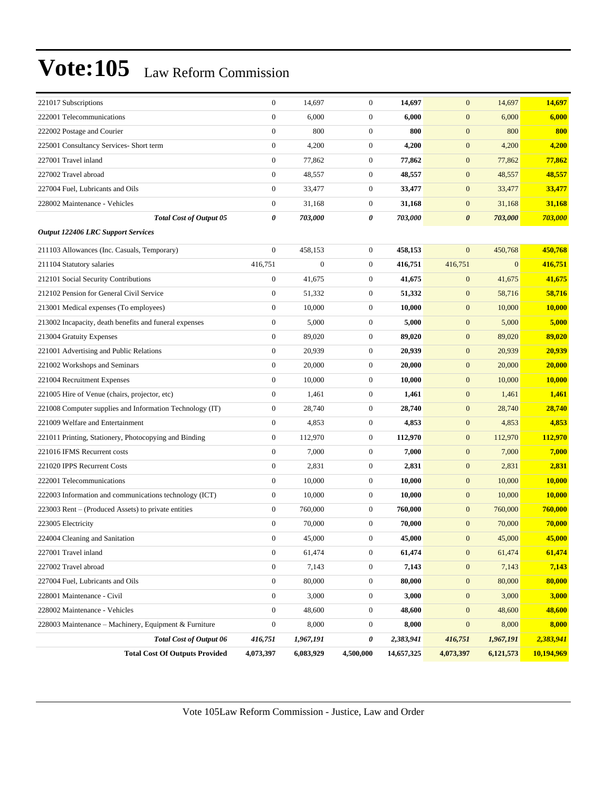| 221017 Subscriptions                                     | $\boldsymbol{0}$ | 14,697           | $\mathbf{0}$     | 14,697     | $\mathbf{0}$          | 14,697         | 14,697     |
|----------------------------------------------------------|------------------|------------------|------------------|------------|-----------------------|----------------|------------|
| 222001 Telecommunications                                | $\boldsymbol{0}$ | 6,000            | $\mathbf{0}$     | 6,000      | $\boldsymbol{0}$      | 6,000          | 6,000      |
| 222002 Postage and Courier                               | $\boldsymbol{0}$ | 800              | $\mathbf{0}$     | 800        | $\boldsymbol{0}$      | 800            | 800        |
| 225001 Consultancy Services- Short term                  | $\boldsymbol{0}$ | 4,200            | $\mathbf{0}$     | 4,200      | $\boldsymbol{0}$      | 4,200          | 4,200      |
| 227001 Travel inland                                     | $\boldsymbol{0}$ | 77,862           | $\mathbf{0}$     | 77,862     | $\mathbf{0}$          | 77,862         | 77,862     |
| 227002 Travel abroad                                     | $\boldsymbol{0}$ | 48,557           | $\mathbf{0}$     | 48,557     | $\mathbf{0}$          | 48,557         | 48,557     |
| 227004 Fuel, Lubricants and Oils                         | $\boldsymbol{0}$ | 33,477           | $\boldsymbol{0}$ | 33,477     | $\mathbf{0}$          | 33,477         | 33,477     |
| 228002 Maintenance - Vehicles                            | $\boldsymbol{0}$ | 31,168           | $\mathbf{0}$     | 31,168     | $\boldsymbol{0}$      | 31,168         | 31,168     |
| <b>Total Cost of Output 05</b>                           | 0                | 703,000          | 0                | 703,000    | $\boldsymbol{\theta}$ | 703,000        | 703,000    |
| <b>Output 122406 LRC Support Services</b>                |                  |                  |                  |            |                       |                |            |
| 211103 Allowances (Inc. Casuals, Temporary)              | $\boldsymbol{0}$ | 458,153          | $\boldsymbol{0}$ | 458,153    | $\mathbf{0}$          | 450,768        | 450,768    |
| 211104 Statutory salaries                                | 416,751          | $\boldsymbol{0}$ | $\mathbf{0}$     | 416,751    | 416,751               | $\overline{0}$ | 416,751    |
| 212101 Social Security Contributions                     | $\boldsymbol{0}$ | 41,675           | $\mathbf{0}$     | 41,675     | $\boldsymbol{0}$      | 41,675         | 41,675     |
| 212102 Pension for General Civil Service                 | $\boldsymbol{0}$ | 51,332           | $\mathbf{0}$     | 51,332     | $\boldsymbol{0}$      | 58,716         | 58,716     |
| 213001 Medical expenses (To employees)                   | $\boldsymbol{0}$ | 10.000           | $\mathbf{0}$     | 10,000     | $\mathbf{0}$          | 10,000         | 10,000     |
| 213002 Incapacity, death benefits and funeral expenses   | $\boldsymbol{0}$ | 5,000            | $\mathbf{0}$     | 5,000      | $\boldsymbol{0}$      | 5,000          | 5,000      |
| 213004 Gratuity Expenses                                 | $\boldsymbol{0}$ | 89,020           | $\mathbf{0}$     | 89,020     | $\boldsymbol{0}$      | 89,020         | 89,020     |
| 221001 Advertising and Public Relations                  | $\boldsymbol{0}$ | 20,939           | $\mathbf{0}$     | 20,939     | $\boldsymbol{0}$      | 20,939         | 20,939     |
| 221002 Workshops and Seminars                            | $\boldsymbol{0}$ | 20,000           | $\mathbf{0}$     | 20,000     | $\boldsymbol{0}$      | 20,000         | 20,000     |
| 221004 Recruitment Expenses                              | $\boldsymbol{0}$ | 10,000           | $\mathbf{0}$     | 10,000     | $\boldsymbol{0}$      | 10,000         | 10,000     |
| 221005 Hire of Venue (chairs, projector, etc)            | $\boldsymbol{0}$ | 1,461            | $\mathbf{0}$     | 1,461      | $\boldsymbol{0}$      | 1,461          | 1,461      |
| 221008 Computer supplies and Information Technology (IT) | $\boldsymbol{0}$ | 28,740           | $\boldsymbol{0}$ | 28,740     | $\boldsymbol{0}$      | 28,740         | 28,740     |
| 221009 Welfare and Entertainment                         | $\boldsymbol{0}$ | 4,853            | $\mathbf{0}$     | 4,853      | $\boldsymbol{0}$      | 4,853          | 4,853      |
| 221011 Printing, Stationery, Photocopying and Binding    | $\boldsymbol{0}$ | 112,970          | $\mathbf{0}$     | 112,970    | $\boldsymbol{0}$      | 112,970        | 112,970    |
| 221016 IFMS Recurrent costs                              | $\boldsymbol{0}$ | 7,000            | $\mathbf{0}$     | 7,000      | $\boldsymbol{0}$      | 7,000          | 7,000      |
| 221020 IPPS Recurrent Costs                              | $\boldsymbol{0}$ | 2,831            | $\mathbf{0}$     | 2,831      | $\boldsymbol{0}$      | 2,831          | 2,831      |
| 222001 Telecommunications                                | $\boldsymbol{0}$ | 10,000           | $\mathbf{0}$     | 10,000     | $\boldsymbol{0}$      | 10,000         | 10,000     |
| 222003 Information and communications technology (ICT)   | $\boldsymbol{0}$ | 10,000           | $\mathbf{0}$     | 10,000     | $\boldsymbol{0}$      | 10,000         | 10,000     |
| 223003 Rent - (Produced Assets) to private entities      | $\boldsymbol{0}$ | 760,000          | $\mathbf{0}$     | 760,000    | $\mathbf{0}$          | 760,000        | 760,000    |
| 223005 Electricity                                       | $\boldsymbol{0}$ | 70,000           | $\mathbf{0}$     | 70,000     | $\mathbf{0}$          | 70,000         | 70,000     |
| 224004 Cleaning and Sanitation                           | $\overline{0}$   | 45,000           | $\overline{0}$   | 45,000     | $\mathbf{0}$          | 45,000         | 45,000     |
| 227001 Travel inland                                     | $\boldsymbol{0}$ | 61,474           | $\boldsymbol{0}$ | 61,474     | $\mathbf{0}$          | 61,474         | 61,474     |
| 227002 Travel abroad                                     | $\boldsymbol{0}$ | 7,143            | $\boldsymbol{0}$ | 7,143      | $\boldsymbol{0}$      | 7,143          | 7,143      |
| 227004 Fuel, Lubricants and Oils                         | $\boldsymbol{0}$ | 80,000           | $\boldsymbol{0}$ | 80,000     | $\boldsymbol{0}$      | 80,000         | 80,000     |
| 228001 Maintenance - Civil                               | $\boldsymbol{0}$ | 3,000            | $\boldsymbol{0}$ | 3,000      | $\boldsymbol{0}$      | 3,000          | 3,000      |
| 228002 Maintenance - Vehicles                            | $\boldsymbol{0}$ | 48,600           | $\boldsymbol{0}$ | 48,600     | $\boldsymbol{0}$      | 48,600         | 48,600     |
| 228003 Maintenance – Machinery, Equipment & Furniture    | $\boldsymbol{0}$ | 8,000            | $\boldsymbol{0}$ | 8,000      | $\boldsymbol{0}$      | 8,000          | 8,000      |
| <b>Total Cost of Output 06</b>                           | 416,751          | 1,967,191        | 0                | 2,383,941  | 416,751               | 1,967,191      | 2,383,941  |
| <b>Total Cost Of Outputs Provided</b>                    | 4,073,397        | 6,083,929        | 4,500,000        | 14,657,325 | 4,073,397             | 6,121,573      | 10,194,969 |